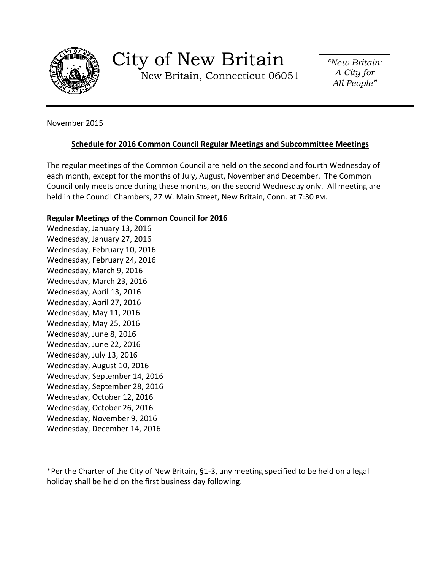

# City of New Britain

New Britain, Connecticut 06051

*"New Britain: A City for All People"*

November 2015

# **Schedule for 2016 Common Council Regular Meetings and Subcommittee Meetings**

The regular meetings of the Common Council are held on the second and fourth Wednesday of each month, except for the months of July, August, November and December. The Common Council only meets once during these months, on the second Wednesday only. All meeting are held in the Council Chambers, 27 W. Main Street, New Britain, Conn. at 7:30 PM.

# **Regular Meetings of the Common Council for 2016**

Wednesday, January 13, 2016 Wednesday, January 27, 2016 Wednesday, February 10, 2016 Wednesday, February 24, 2016 Wednesday, March 9, 2016 Wednesday, March 23, 2016 Wednesday, April 13, 2016 Wednesday, April 27, 2016 Wednesday, May 11, 2016 Wednesday, May 25, 2016 Wednesday, June 8, 2016 Wednesday, June 22, 2016 Wednesday, July 13, 2016 Wednesday, August 10, 2016 Wednesday, September 14, 2016 Wednesday, September 28, 2016 Wednesday, October 12, 2016 Wednesday, October 26, 2016 Wednesday, November 9, 2016 Wednesday, December 14, 2016

\*Per the Charter of the City of New Britain, §1-3, any meeting specified to be held on a legal holiday shall be held on the first business day following.